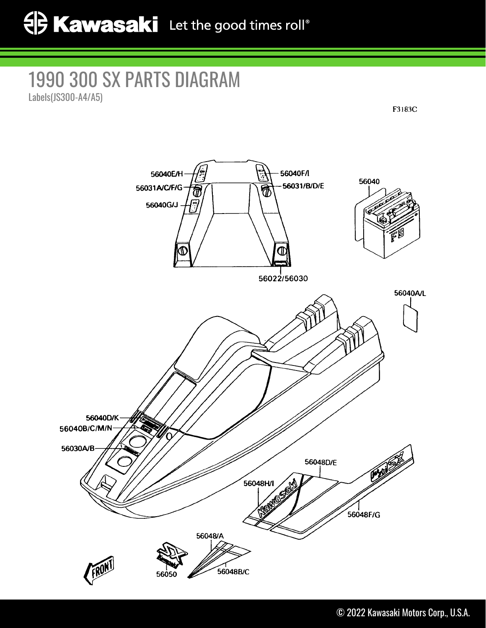## 1990 300 SX PARTS DIAGRAM Labels(JS300-A4/A5)

F3183C

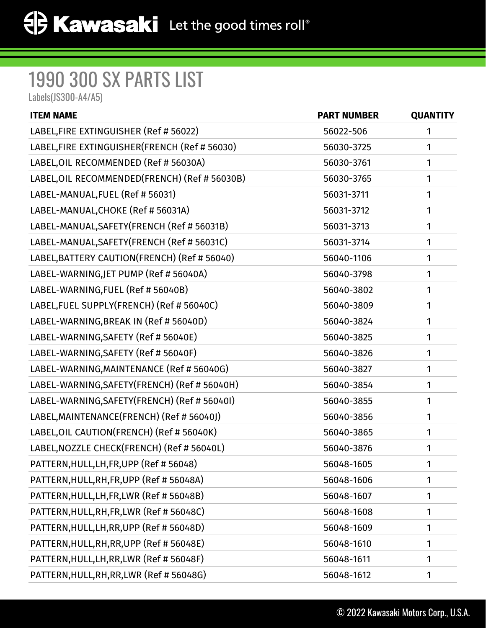## 1990 300 SX PARTS LIST

Labels(JS300-A4/A5)

| <b>ITEM NAME</b>                               | <b>PART NUMBER</b> | <b>QUANTITY</b> |
|------------------------------------------------|--------------------|-----------------|
| LABEL, FIRE EXTINGUISHER (Ref # 56022)         | 56022-506          | 1               |
| LABEL, FIRE EXTINGUISHER (FRENCH (Ref # 56030) | 56030-3725         | 1               |
| LABEL, OIL RECOMMENDED (Ref # 56030A)          | 56030-3761         | 1               |
| LABEL, OIL RECOMMENDED (FRENCH) (Ref # 56030B) | 56030-3765         | 1               |
| LABEL-MANUAL, FUEL (Ref # 56031)               | 56031-3711         | 1               |
| LABEL-MANUAL, CHOKE (Ref # 56031A)             | 56031-3712         | 1               |
| LABEL-MANUAL, SAFETY (FRENCH (Ref # 56031B)    | 56031-3713         | 1               |
| LABEL-MANUAL, SAFETY (FRENCH (Ref # 56031C)    | 56031-3714         | 1               |
| LABEL, BATTERY CAUTION (FRENCH) (Ref # 56040)  | 56040-1106         | 1               |
| LABEL-WARNING, JET PUMP (Ref # 56040A)         | 56040-3798         | 1               |
| LABEL-WARNING, FUEL (Ref # 56040B)             | 56040-3802         | 1               |
| LABEL, FUEL SUPPLY(FRENCH) (Ref # 56040C)      | 56040-3809         | 1               |
| LABEL-WARNING, BREAK IN (Ref # 56040D)         | 56040-3824         | 1               |
| LABEL-WARNING, SAFETY (Ref # 56040E)           | 56040-3825         | 1               |
| LABEL-WARNING, SAFETY (Ref # 56040F)           | 56040-3826         | 1               |
| LABEL-WARNING, MAINTENANCE (Ref # 56040G)      | 56040-3827         | 1               |
| LABEL-WARNING, SAFETY (FRENCH) (Ref # 56040H)  | 56040-3854         | 1               |
| LABEL-WARNING, SAFETY (FRENCH) (Ref # 560401)  | 56040-3855         | 1               |
| LABEL, MAINTENANCE (FRENCH) (Ref # 56040J)     | 56040-3856         | 1               |
| LABEL, OIL CAUTION(FRENCH) (Ref # 56040K)      | 56040-3865         | 1               |
| LABEL, NOZZLE CHECK(FRENCH) (Ref # 56040L)     | 56040-3876         | 1               |
| PATTERN, HULL, LH, FR, UPP (Ref # 56048)       | 56048-1605         | 1               |
| PATTERN, HULL, RH, FR, UPP (Ref # 56048A)      | 56048-1606         | 1               |
| PATTERN, HULL, LH, FR, LWR (Ref # 56048B)      | 56048-1607         | 1               |
| PATTERN, HULL, RH, FR, LWR (Ref # 56048C)      | 56048-1608         | 1               |
| PATTERN, HULL, LH, RR, UPP (Ref # 56048D)      | 56048-1609         | 1               |
| PATTERN, HULL, RH, RR, UPP (Ref # 56048E)      | 56048-1610         | 1               |
| PATTERN, HULL, LH, RR, LWR (Ref # 56048F)      | 56048-1611         | 1               |
| PATTERN, HULL, RH, RR, LWR (Ref # 56048G)      | 56048-1612         | 1               |